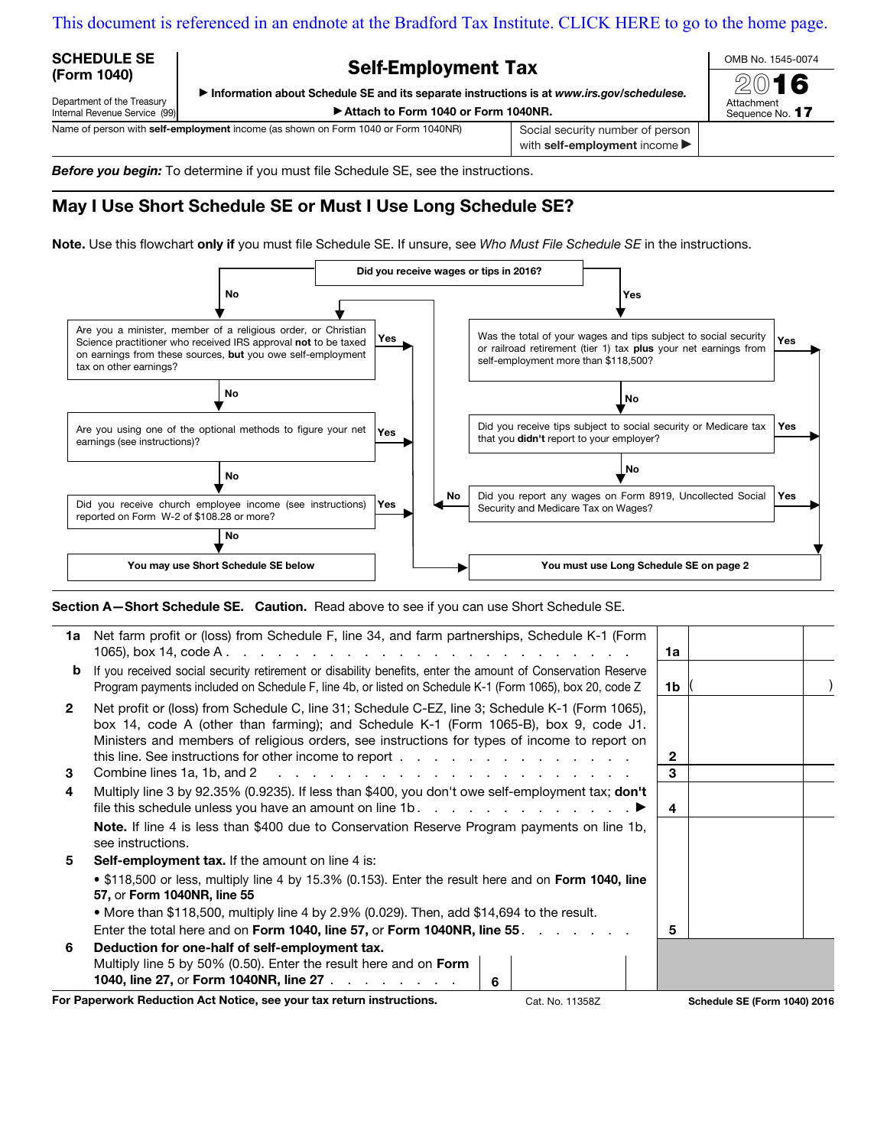## [This document is referenced in an endnote at the Bradford Tax Institute. CLICK HERE to go to the home page.](www.bradfordtaxinstitute.com)

## SCHEDULE SE (Form 1040)

Self-Employment Tax

a Information about Schedule SE and its separate instructions is at *www.irs.gov/schedulese.*

Attach to Form 1040 or Form 1040NR.

with self-employment income  $\blacktriangleright$ 

OMB No. 1545-0074 2016

Attachment Sequence No. 17

Department of the Treasury Internal Revenue Service (99)

Name of person with **self-employment** income (as shown on Form 1040 or Form 1040NR) Social security number of person

**Before you begin:** To determine if you must file Schedule SE, see the instructions.

## May I Use Short Schedule SE or Must I Use Long Schedule SE?

Note. Use this flowchart only if you must file Schedule SE. If unsure, see *Who Must File Schedule SE* in the instructions.



Section A-Short Schedule SE. Caution. Read above to see if you can use Short Schedule SE.

|                                                                                          | 1a Net farm profit or (loss) from Schedule F, line 34, and farm partnerships, Schedule K-1 (Form                                                                                                                                                                                        | 1a             |                              |  |
|------------------------------------------------------------------------------------------|-----------------------------------------------------------------------------------------------------------------------------------------------------------------------------------------------------------------------------------------------------------------------------------------|----------------|------------------------------|--|
| b                                                                                        | If you received social security retirement or disability benefits, enter the amount of Conservation Reserve<br>Program payments included on Schedule F, line 4b, or listed on Schedule K-1 (Form 1065), box 20, code Z                                                                  | 1 <sub>b</sub> |                              |  |
| $\mathbf{2}$                                                                             | Net profit or (loss) from Schedule C, line 31; Schedule C-EZ, line 3; Schedule K-1 (Form 1065),<br>box 14, code A (other than farming); and Schedule K-1 (Form 1065-B), box 9, code J1.<br>Ministers and members of religious orders, see instructions for types of income to report on | 2              |                              |  |
| 3                                                                                        |                                                                                                                                                                                                                                                                                         | 3              |                              |  |
| 4                                                                                        | Multiply line 3 by 92.35% (0.9235). If less than \$400, you don't owe self-employment tax; don't                                                                                                                                                                                        |                |                              |  |
|                                                                                          | file this schedule unless you have an amount on line 1b. $\ldots$ . $\ldots$ . $\ldots$ . $\ldots$                                                                                                                                                                                      | 4              |                              |  |
|                                                                                          | <b>Note.</b> If line 4 is less than \$400 due to Conservation Reserve Program payments on line 1b,<br>see instructions.                                                                                                                                                                 |                |                              |  |
| 5.                                                                                       | <b>Self-employment tax.</b> If the amount on line 4 is:                                                                                                                                                                                                                                 |                |                              |  |
|                                                                                          | • \$118,500 or less, multiply line 4 by 15.3% (0.153). Enter the result here and on Form 1040, line<br>57, or Form 1040NR, line 55                                                                                                                                                      |                |                              |  |
|                                                                                          | • More than \$118,500, multiply line 4 by 2.9% (0.029). Then, add \$14,694 to the result.                                                                                                                                                                                               |                |                              |  |
|                                                                                          | Enter the total here and on Form 1040, line 57, or Form 1040NR, line 55. All Assets Liness Lines                                                                                                                                                                                        | 5              |                              |  |
| 6                                                                                        | Deduction for one-half of self-employment tax.                                                                                                                                                                                                                                          |                |                              |  |
|                                                                                          | Multiply line 5 by 50% (0.50). Enter the result here and on Form<br><b>1040, line 27, or Form 1040NR, line 27</b><br>6                                                                                                                                                                  |                |                              |  |
| For Paperwork Reduction Act Notice, see your tax return instructions.<br>Cat. No. 11358Z |                                                                                                                                                                                                                                                                                         |                | Schedule SE (Form 1040) 2016 |  |